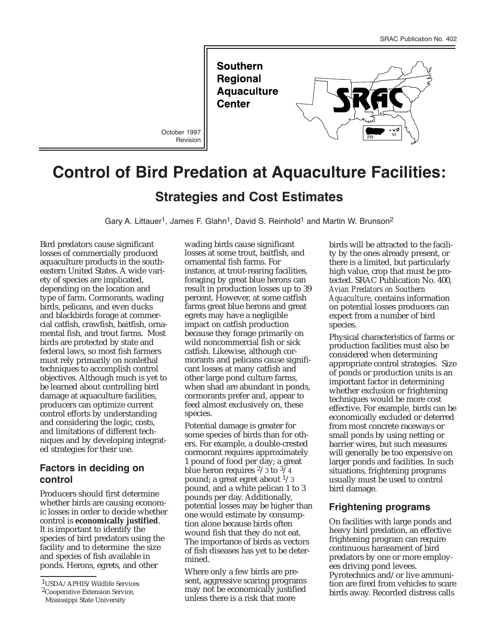**Southern Regional Aquaculture Center** 

October 1997 Revision



# **Control of Bird Predation at Aquaculture Facilities: Strategies and Cost Estimates**

Gary A. Littauer<sup>1</sup>, James F. Glahn<sup>1</sup>, David S. Reinhold<sup>1</sup> and Martin W. Brunson<sup>2</sup>

Bird predators cause significant losses of commercially produced aquaculture products in the southeastern United States. A wide variety of species are implicated, depending on the location and type of farm. Cormorants, wading birds, pelicans, and even ducks and blackbirds forage at commercial catfish, crawfish, baitfish, ornamental fish, and trout farms. Most birds are protected by state and federal laws, so most fish farmers must rely primarily on nonlethal techniques to accomplish control objectives. Although much is yet to be learned about controlling bird damage at aquaculture facilities, producers can optimize current control efforts by understanding and considering the logic, costs, and limitations of different techniques and by developing integrated strategies for their use.

## **Factors in deciding on control**

Producers should first determine whether birds are causing economic losses in order to decide whether control is **economically justified**. It is important to identify the species of bird predators using the facility and to determine the size and species of fish available in ponds. Herons, egrets, and other

1USDA/APHIS/Wildlife Services

wading birds cause significant losses at some trout, baitfish, and ornamental fish farms. For instance, at trout-rearing facilities, foraging by great blue herons can result in production losses up to 39 percent. However, at some catfish farms great blue herons and great egrets may have a negligible impact on catfish production because they forage primarily on wild noncommercial fish or sick catfish. Likewise, although cormorants and pelicans cause significant losses at many catfish and other large pond culture farms, when shad are abundant in ponds, cormorants prefer and, appear to feed almost exclusively on, these species.

Potential damage is greater for some species of birds than for others. For example, a double-crested cormorant requires approximately 1 pound of food per day; a great blue heron requires  $\frac{2}{3}$  to  $\frac{3}{4}$ pound; a great egret about  $\frac{1}{3}$ pound, and a white pelican 1 to 3 pounds per day. Additionally, potential losses may be higher than one would estimate by consumption alone because birds often wound fish that they do not eat. The importance of birds as vectors of fish diseases has yet to be determined.

Where only a few birds are present, aggressive scaring programs may not be economically justified unless there is a risk that more

birds will be attracted to the facility by the ones already present, or there is a limited, but particularly high value, crop that must be protected. SRAC Publication No. 400, *Avian Predators on Southern Aquaculture*, contains information on potential losses producers can expect from a number of bird species.

Physical characteristics of farms or production facilities must also be considered when determining appropriate control strategies. Size of ponds or production units is an important factor in determining whether exclusion or frightening techniques would be more cost effective. For example, birds can be economically excluded or deterred from most concrete raceways or small ponds by using netting or barrier wires, but such measures will generally be too expensive on larger ponds and facilities. In such situations, frightening programs usually must be used to control bird damage.

#### **Frightening programs**

On facilities with large ponds and heavy bird predation, an effective frightening program can require continuous harassment of bird predators by one or more employees driving pond levees. Pyrotechnics and/or live ammunition are fired from vehicles to scare birds away. Recorded distress calls

<sup>2</sup>Cooperative Extension Service,

Mississippi State University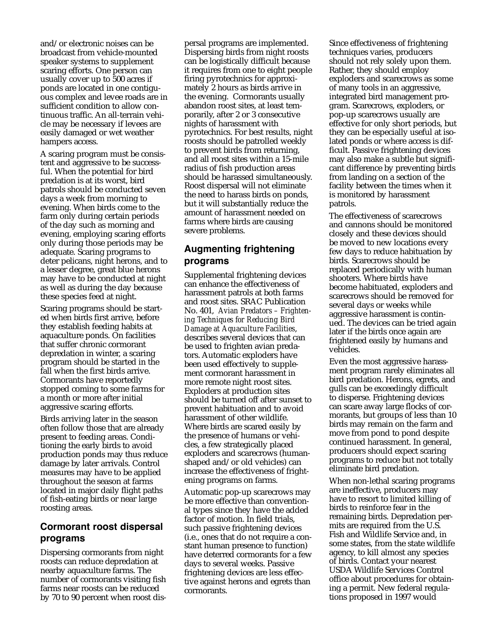and/or electronic noises can be broadcast from vehicle-mounted speaker systems to supplement scaring efforts. One person can usually cover up to 500 acres if ponds are located in one contiguous complex and levee roads are in sufficient condition to allow continuous traffic. An all-terrain vehicle may be necessary if levees are easily damaged or wet weather hampers access.

A scaring program must be consistent and aggressive to be successful. When the potential for bird predation is at its worst, bird patrols should be conducted seven days a week from morning to evening. When birds come to the farm only during certain periods of the day such as morning and evening, employing scaring efforts only during those periods may be adequate. Scaring programs to deter pelicans, night herons, and to a lesser degree, great blue herons may have to be conducted at night as well as during the day because these species feed at night.

Scaring programs should be started when birds first arrive, before they establish feeding habits at aquaculture ponds. On facilities that suffer chronic cormorant depredation in winter, a scaring program should be started in the fall when the first birds arrive. Cormorants have reportedly stopped coming to some farms for a month or more after initial aggressive scaring efforts.

Birds arriving later in the season often follow those that are already present to feeding areas. Conditioning the early birds to avoid production ponds may thus reduce damage by later arrivals. Control measures may have to be applied throughout the season at farms located in major daily flight paths of fish-eating birds or near large roosting areas.

# **Cormorant roost dispersal programs**

Dispersing cormorants from night roosts can reduce depredation at nearby aquaculture farms. The number of cormorants visiting fish farms near roosts can be reduced by 70 to 90 percent when roost dis-

persal programs are implemented. Dispersing birds from night roosts can be logistically difficult because it requires from one to eight people firing pyrotechnics for approximately 2 hours as birds arrive in the evening. Cormorants usually abandon roost sites, at least temporarily, after 2 or 3 consecutive nights of harassment with pyrotechnics. For best results, night roosts should be patrolled weekly to prevent birds from returning, and all roost sites within a 15-mile radius of fish production areas should be harassed simultaneously. Roost dispersal will not eliminate the need to harass birds on ponds, but it will substantially reduce the amount of harassment needed on farms where birds are causing severe problems.

#### **Augmenting frightening programs**

Supplemental frightening devices can enhance the effectiveness of harassment patrols at both farms and roost sites. SRAC Publication No. 401, *Avian Predators – Frightening Techniques for Reducing Bird Damage at Aquaculture Facilities*, describes several devices that can be used to frighten avian predators. Automatic exploders have been used effectively to supplement cormorant harassment in more remote night roost sites. Exploders at production sites should be turned off after sunset to prevent habituation and to avoid harassment of other wildlife. Where birds are scared easily by the presence of humans or vehicles, a few strategically placed exploders and scarecrows (humanshaped and/or old vehicles) can increase the effectiveness of frightening programs on farms.

Automatic pop-up scarecrows may be more effective than conventional types since they have the added factor of motion. In field trials, such passive frightening devices (i.e., ones that do not require a constant human presence to function) have deterred cormorants for a few days to several weeks. Passive frightening devices are less effective against herons and egrets than cormorants.

Since effectiveness of frightening techniques varies, producers should not rely solely upon them. Rather, they should employ exploders and scarecrows as some of many tools in an aggressive, integrated bird management program. Scarecrows, exploders, or pop-up scarecrows usually are effective for only short periods, but they can be especially useful at isolated ponds or where access is difficult. Passive frightening devices may also make a subtle but significant difference by preventing birds from landing on a section of the facility between the times when it is monitored by harassment patrols.

The effectiveness of scarecrows and cannons should be monitored closely and these devices should be moved to new locations every few days to reduce habituation by birds. Scarecrows should be replaced periodically with human shooters. Where birds have become habituated, exploders and scarecrows should be removed for several days or weeks while aggressive harassment is continued. The devices can be tried again later if the birds once again are frightened easily by humans and vehicles.

Even the most aggressive harassment program rarely eliminates all bird predation. Herons, egrets, and gulls can be exceedingly difficult to disperse. Frightening devices can scare away large flocks of cormorants, but groups of less than 10 birds may remain on the farm and move from pond to pond despite continued harassment. In general, producers should expect scaring programs to reduce but not totally eliminate bird predation.

When non-lethal scaring programs are ineffective, producers may have to resort to limited killing of birds to reinforce fear in the remaining birds. Depredation permits are required from the U.S. Fish and Wildlife Service and, in some states, from the state wildlife agency, to kill almost any species of birds. Contact your nearest USDA Wildlife Services Control office about procedures for obtaining a permit. New federal regulations proposed in 1997 would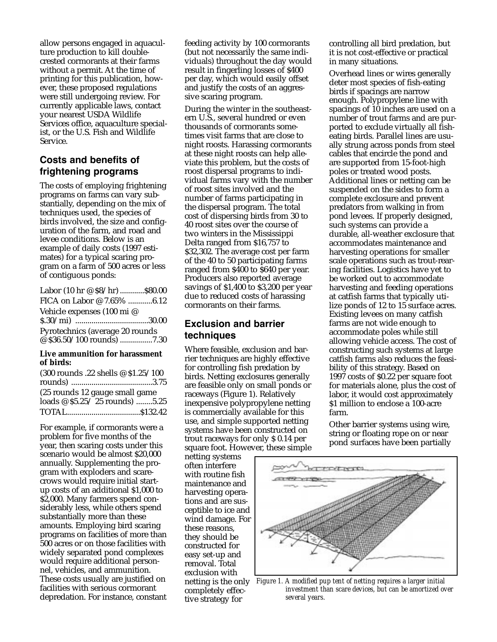allow persons engaged in aquaculture production to kill doublecrested cormorants at their farms without a permit. At the time of printing for this publication, however, these proposed regulations were still undergoing review. For currently applicable laws, contact your nearest USDA Wildlife Services office, aquaculture specialist, or the U.S. Fish and Wildlife Service.

## **Costs and benefits of frightening programs**

The costs of employing frightening programs on farms can vary substantially, depending on the mix of techniques used, the species of birds involved, the size and configuration of the farm, and road and levee conditions. Below is an example of daily costs (1997 estimates) for a typical scaring program on a farm of 500 acres or less of contiguous ponds:

| Labor (10 hr @ \$8/hr) \$80.00  |  |
|---------------------------------|--|
| FICA on Labor @ 7.65% 6.12      |  |
| Vehicle expenses (100 mi @      |  |
|                                 |  |
| Pyrotechnics (average 20 rounds |  |
| @ \$36.50/100 rounds) 7.30      |  |

#### **Live ammunition for harassment of birds:**

| (300 rounds .22 shells @ \$1.25/100 |  |
|-------------------------------------|--|
|                                     |  |
| (25 rounds 12 gauge small game      |  |
| loads @ \$5.25/25 rounds) 5.25      |  |
|                                     |  |

For example, if cormorants were a problem for five months of the year, then scaring costs under this scenario would be almost \$20,000 annually. Supplementing the program with exploders and scarecrows would require initial startup costs of an additional \$1,000 to \$2,000. Many farmers spend considerably less, while others spend substantially more than these amounts. Employing bird scaring programs on facilities of more than 500 acres or on those facilities with widely separated pond complexes would require additional personnel, vehicles, and ammunition. These costs usually are justified on facilities with serious cormorant depredation. For instance, constant feeding activity by 100 cormorants (but not necessarily the same individuals) throughout the day would result in fingerling losses of \$400 per day, which would easily offset and justify the costs of an aggressive scaring program.

During the winter in the southeastern U.S., several hundred or even thousands of cormorants sometimes visit farms that are close to night roosts. Harassing cormorants at these night roosts can help alleviate this problem, but the costs of roost dispersal programs to individual farms vary with the number of roost sites involved and the number of farms participating in the dispersal program. The total cost of dispersing birds from 30 to 40 roost sites over the course of two winters in the Mississippi Delta ranged from \$16,757 to \$32,302. The average cost per farm of the 40 to 50 participating farms ranged from \$400 to \$640 per year. Producers also reported average savings of \$1,400 to \$3,200 per year due to reduced costs of harassing cormorants on their farms.

#### **Exclusion and barrier techniques**

Where feasible, exclusion and barrier techniques are highly effective for controlling fish predation by birds. Netting exclosures generally are feasible only on small ponds or raceways (Figure 1). Relatively inexpensive polypropylene netting is commercially available for this use, and simple supported netting systems have been constructed on trout raceways for only \$ 0.14 per square foot. However, these simple

netting systems often interfere with routine fish maintenance and harvesting operations and are susceptible to ice and wind damage. For these reasons, they should be constructed for easy set-up and removal. Total exclusion with completely effective strategy for

controlling all bird predation, but it is not cost-effective or practical in many situations.

Overhead lines or wires generally deter most species of fish-eating birds if spacings are narrow enough. Polypropylene line with spacings of 10 inches are used on a number of trout farms and are purported to exclude virtually all fisheating birds. Parallel lines are usually strung across ponds from steel cables that encircle the pond and are supported from 15-foot-high poles or treated wood posts. Additional lines or netting can be suspended on the sides to form a complete exclosure and prevent predators from walking in from pond levees. If properly designed, such systems can provide a durable, all-weather exclosure that accommodates maintenance and harvesting operations for smaller scale operations such as trout-rearing facilities. Logistics have yet to be worked out to accommodate harvesting and feeding operations at catfish farms that typically utilize ponds of 12 to 15 surface acres. Existing levees on many catfish farms are not wide enough to accommodate poles while still allowing vehicle access. The cost of constructing such systems at large catfish farms also reduces the feasibility of this strategy. Based on 1997 costs of \$0.22 per square foot for materials alone, plus the cost of labor, it would cost approximately \$1 million to enclose a 100-acre farm.

Other barrier systems using wire, string or floating rope on or near pond surfaces have been partially



netting is the only *Figure 1. A modified pup tent of netting requires a larger initial investment than scare devices, but can be amortized over several years.*